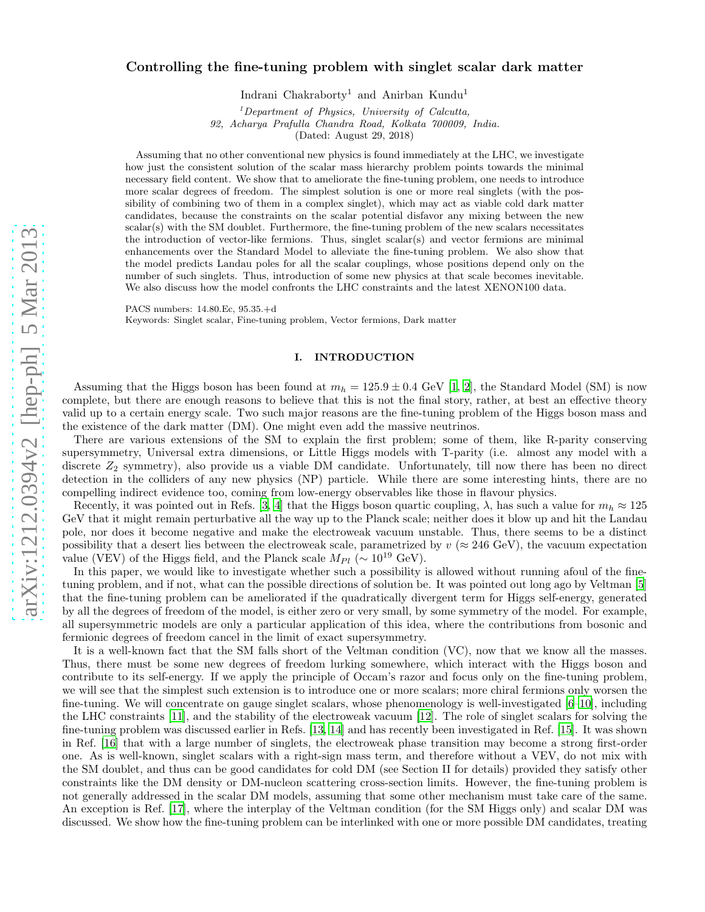# arXiv:1212.0394v2 [hep-ph] 5 Mar 2013 [arXiv:1212.0394v2 \[hep-ph\] 5 Mar 2013](http://arxiv.org/abs/1212.0394v2)

# Controlling the fine-tuning problem with singlet scalar dark matter

Indrani Chakraborty<sup>1</sup> and Anirban Kundu<sup>1</sup>

 $<sup>1</sup> Department of Physics, University of Calculita,$ </sup> 92, Acharya Prafulla Chandra Road, Kolkata 700009, India.

(Dated: August 29, 2018)

Assuming that no other conventional new physics is found immediately at the LHC, we investigate how just the consistent solution of the scalar mass hierarchy problem points towards the minimal necessary field content. We show that to ameliorate the fine-tuning problem, one needs to introduce more scalar degrees of freedom. The simplest solution is one or more real singlets (with the possibility of combining two of them in a complex singlet), which may act as viable cold dark matter candidates, because the constraints on the scalar potential disfavor any mixing between the new scalar(s) with the SM doublet. Furthermore, the fine-tuning problem of the new scalars necessitates the introduction of vector-like fermions. Thus, singlet scalar(s) and vector fermions are minimal enhancements over the Standard Model to alleviate the fine-tuning problem. We also show that the model predicts Landau poles for all the scalar couplings, whose positions depend only on the number of such singlets. Thus, introduction of some new physics at that scale becomes inevitable. We also discuss how the model confronts the LHC constraints and the latest XENON100 data.

PACS numbers: 14.80.Ec, 95.35.+d Keywords: Singlet scalar, Fine-tuning problem, Vector fermions, Dark matter

### I. INTRODUCTION

Assuming that the Higgs boson has been found at  $m_h = 125.9 \pm 0.4$  GeV [\[1](#page-7-0), [2](#page-7-1)], the Standard Model (SM) is now complete, but there are enough reasons to believe that this is not the final story, rather, at best an effective theory valid up to a certain energy scale. Two such major reasons are the fine-tuning problem of the Higgs boson mass and the existence of the dark matter (DM). One might even add the massive neutrinos.

There are various extensions of the SM to explain the first problem; some of them, like R-parity conserving supersymmetry, Universal extra dimensions, or Little Higgs models with T-parity (i.e. almost any model with a discrete  $Z_2$  symmetry), also provide us a viable DM candidate. Unfortunately, till now there has been no direct detection in the colliders of any new physics (NP) particle. While there are some interesting hints, there are no compelling indirect evidence too, coming from low-energy observables like those in flavour physics.

Recently, it was pointed out in Refs. [\[3,](#page-7-2) [4\]](#page-7-3) that the Higgs boson quartic coupling,  $\lambda$ , has such a value for  $m_h \approx 125$ GeV that it might remain perturbative all the way up to the Planck scale; neither does it blow up and hit the Landau pole, nor does it become negative and make the electroweak vacuum unstable. Thus, there seems to be a distinct possibility that a desert lies between the electroweak scale, parametrized by  $v \approx 246 \text{ GeV}$ , the vacuum expectation value (VEV) of the Higgs field, and the Planck scale  $M_{Pl}$  ( $\sim 10^{19}$  GeV).

In this paper, we would like to investigate whether such a possibility is allowed without running afoul of the finetuning problem, and if not, what can the possible directions of solution be. It was pointed out long ago by Veltman [\[5](#page-7-4)] that the fine-tuning problem can be ameliorated if the quadratically divergent term for Higgs self-energy, generated by all the degrees of freedom of the model, is either zero or very small, by some symmetry of the model. For example, all supersymmetric models are only a particular application of this idea, where the contributions from bosonic and fermionic degrees of freedom cancel in the limit of exact supersymmetry.

It is a well-known fact that the SM falls short of the Veltman condition (VC), now that we know all the masses. Thus, there must be some new degrees of freedom lurking somewhere, which interact with the Higgs boson and contribute to its self-energy. If we apply the principle of Occam's razor and focus only on the fine-tuning problem, we will see that the simplest such extension is to introduce one or more scalars; more chiral fermions only worsen the fine-tuning. We will concentrate on gauge singlet scalars, whose phenomenology is well-investigated [\[6–](#page-7-5)[10\]](#page-7-6), including the LHC constraints [\[11\]](#page-7-7), and the stability of the electroweak vacuum [\[12\]](#page-7-8). The role of singlet scalars for solving the fine-tuning problem was discussed earlier in Refs. [\[13](#page-7-9), [14\]](#page-7-10) and has recently been investigated in Ref. [\[15\]](#page-7-11). It was shown in Ref. [\[16\]](#page-7-12) that with a large number of singlets, the electroweak phase transition may become a strong first-order one. As is well-known, singlet scalars with a right-sign mass term, and therefore without a VEV, do not mix with the SM doublet, and thus can be good candidates for cold DM (see Section II for details) provided they satisfy other constraints like the DM density or DM-nucleon scattering cross-section limits. However, the fine-tuning problem is not generally addressed in the scalar DM models, assuming that some other mechanism must take care of the same. An exception is Ref. [\[17](#page-7-13)], where the interplay of the Veltman condition (for the SM Higgs only) and scalar DM was discussed. We show how the fine-tuning problem can be interlinked with one or more possible DM candidates, treating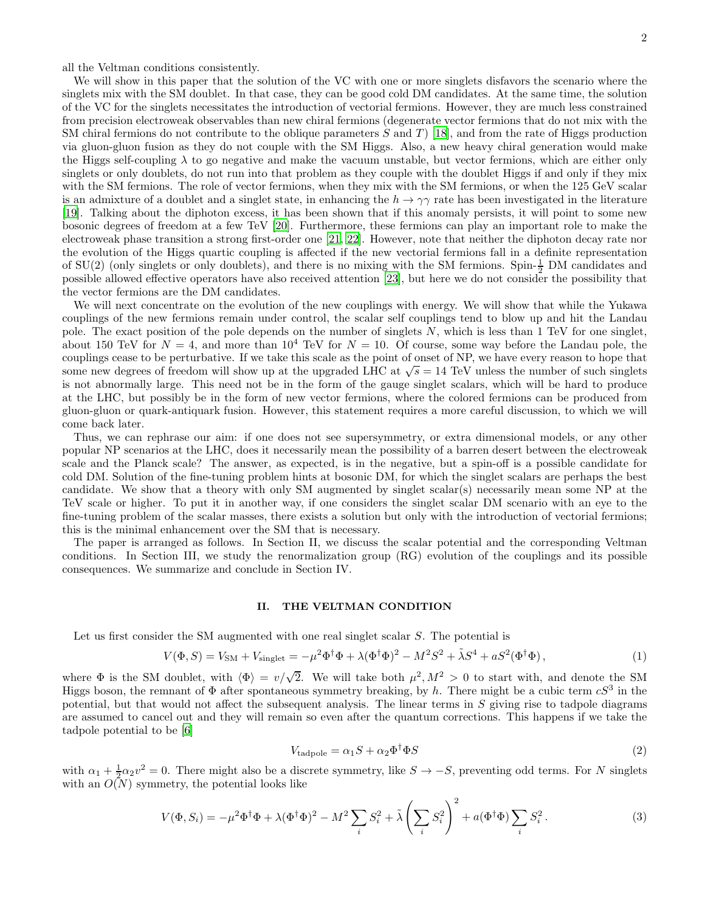all the Veltman conditions consistently.

We will show in this paper that the solution of the VC with one or more singlets disfavors the scenario where the singlets mix with the SM doublet. In that case, they can be good cold DM candidates. At the same time, the solution of the VC for the singlets necessitates the introduction of vectorial fermions. However, they are much less constrained from precision electroweak observables than new chiral fermions (degenerate vector fermions that do not mix with the SM chiral fermions do not contribute to the oblique parameters S and T  $|18|$ , and from the rate of Higgs production via gluon-gluon fusion as they do not couple with the SM Higgs. Also, a new heavy chiral generation would make the Higgs self-coupling  $\lambda$  to go negative and make the vacuum unstable, but vector fermions, which are either only singlets or only doublets, do not run into that problem as they couple with the doublet Higgs if and only if they mix with the SM fermions. The role of vector fermions, when they mix with the SM fermions, or when the 125 GeV scalar is an admixture of a doublet and a singlet state, in enhancing the  $h \to \gamma\gamma$  rate has been investigated in the literature [\[19\]](#page-7-15). Talking about the diphoton excess, it has been shown that if this anomaly persists, it will point to some new bosonic degrees of freedom at a few TeV [\[20](#page-7-16)]. Furthermore, these fermions can play an important role to make the electroweak phase transition a strong first-order one [\[21,](#page-7-17) [22\]](#page-7-18). However, note that neither the diphoton decay rate nor the evolution of the Higgs quartic coupling is affected if the new vectorial fermions fall in a definite representation of  $SU(2)$  (only singlets or only doublets), and there is no mixing with the SM fermions. Spin- $\frac{1}{2}$  DM candidates and possible allowed effective operators have also received attention [\[23\]](#page-7-19), but here we do not consider the possibility that the vector fermions are the DM candidates.

We will next concentrate on the evolution of the new couplings with energy. We will show that while the Yukawa couplings of the new fermions remain under control, the scalar self couplings tend to blow up and hit the Landau pole. The exact position of the pole depends on the number of singlets N, which is less than 1 TeV for one singlet, about 150 TeV for  $N = 4$ , and more than 10<sup>4</sup> TeV for  $N = 10$ . Of course, some way before the Landau pole, the couplings cease to be perturbative. If we take this scale as the point of onset of NP, we have every reason to hope that some new degrees of freedom will show up at the upgraded LHC at  $\sqrt{s} = 14$  TeV unless the number of such singlets is not abnormally large. This need not be in the form of the gauge singlet scalars, which will be hard to produce at the LHC, but possibly be in the form of new vector fermions, where the colored fermions can be produced from gluon-gluon or quark-antiquark fusion. However, this statement requires a more careful discussion, to which we will come back later.

Thus, we can rephrase our aim: if one does not see supersymmetry, or extra dimensional models, or any other popular NP scenarios at the LHC, does it necessarily mean the possibility of a barren desert between the electroweak scale and the Planck scale? The answer, as expected, is in the negative, but a spin-off is a possible candidate for cold DM. Solution of the fine-tuning problem hints at bosonic DM, for which the singlet scalars are perhaps the best candidate. We show that a theory with only SM augmented by singlet scalar(s) necessarily mean some NP at the TeV scale or higher. To put it in another way, if one considers the singlet scalar DM scenario with an eye to the fine-tuning problem of the scalar masses, there exists a solution but only with the introduction of vectorial fermions; this is the minimal enhancement over the SM that is necessary.

The paper is arranged as follows. In Section II, we discuss the scalar potential and the corresponding Veltman conditions. In Section III, we study the renormalization group (RG) evolution of the couplings and its possible consequences. We summarize and conclude in Section IV.

# II. THE VELTMAN CONDITION

Let us first consider the SM augmented with one real singlet scalar S. The potential is

<span id="page-1-0"></span>
$$
V(\Phi, S) = V_{\rm SM} + V_{\rm singlet} = -\mu^2 \Phi^\dagger \Phi + \lambda (\Phi^\dagger \Phi)^2 - M^2 S^2 + \tilde{\lambda} S^4 + a S^2 (\Phi^\dagger \Phi), \tag{1}
$$

where  $\Phi$  is the SM doublet, with  $\langle \Phi \rangle = v/\sqrt{2}$ . We will take both  $\mu^2$ ,  $M^2 > 0$  to start with, and denote the SM Higgs boson, the remnant of  $\Phi$  after spontaneous symmetry breaking, by h. There might be a cubic term  $cS^3$  in the potential, but that would not affect the subsequent analysis. The linear terms in  $S$  giving rise to tadpole diagrams are assumed to cancel out and they will remain so even after the quantum corrections. This happens if we take the tadpole potential to be [\[6](#page-7-5)]

$$
V_{\text{tadpole}} = \alpha_1 S + \alpha_2 \Phi^{\dagger} \Phi S \tag{2}
$$

with  $\alpha_1 + \frac{1}{2}\alpha_2v^2 = 0$ . There might also be a discrete symmetry, like  $S \to -S$ , preventing odd terms. For N singlets with  $\alpha_1 + \frac{1}{2}\alpha_2 v = 0$ . There inight also be a disc<br>with an  $O(N)$  symmetry, the potential looks like

$$
V(\Phi, S_i) = -\mu^2 \Phi^\dagger \Phi + \lambda (\Phi^\dagger \Phi)^2 - M^2 \sum_i S_i^2 + \tilde{\lambda} \left( \sum_i S_i^2 \right)^2 + a(\Phi^\dagger \Phi) \sum_i S_i^2.
$$
 (3)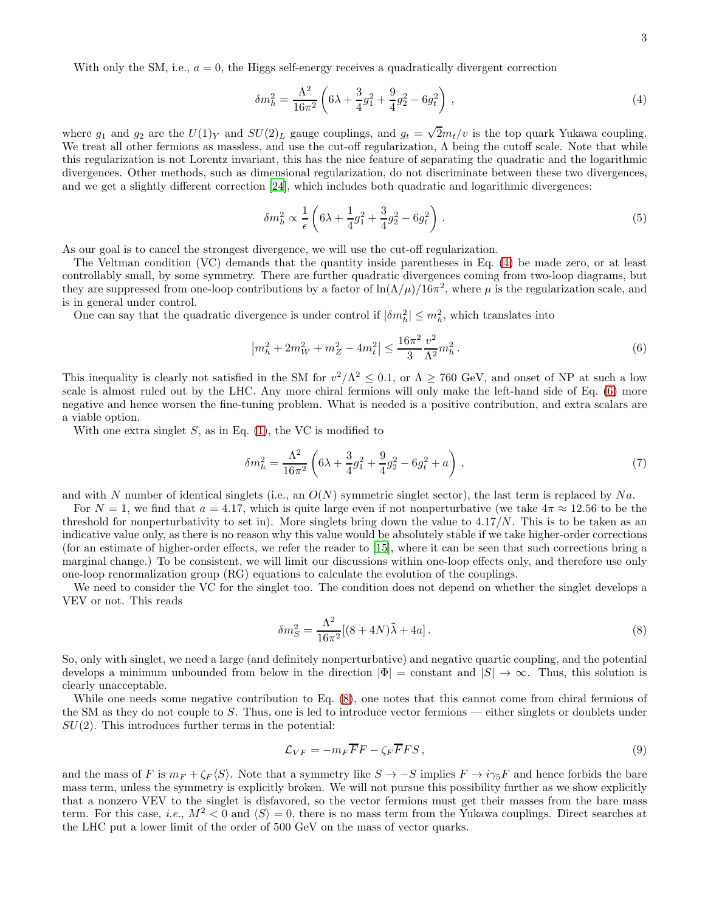With only the SM, i.e.,  $a = 0$ , the Higgs self-energy receives a quadratically divergent correction

<span id="page-2-0"></span>
$$
\delta m_h^2 = \frac{\Lambda^2}{16\pi^2} \left( 6\lambda + \frac{3}{4}g_1^2 + \frac{9}{4}g_2^2 - 6g_t^2 \right) , \qquad (4)
$$

where  $g_1$  and  $g_2$  are the  $U(1)_Y$  and  $SU(2)_L$  gauge couplings, and  $g_t = \sqrt{2}m_t/v$  is the top quark Yukawa coupling. We treat all other fermions as massless, and use the cut-off regularization, Λ being the cutoff scale. Note that while this regularization is not Lorentz invariant, this has the nice feature of separating the quadratic and the logarithmic divergences. Other methods, such as dimensional regularization, do not discriminate between these two divergences, and we get a slightly different correction [\[24\]](#page-7-20), which includes both quadratic and logarithmic divergences:

$$
\delta m_h^2 \propto \frac{1}{\epsilon} \left( 6\lambda + \frac{1}{4} g_1^2 + \frac{3}{4} g_2^2 - 6g_t^2 \right) . \tag{5}
$$

As our goal is to cancel the strongest divergence, we will use the cut-off regularization.

The Veltman condition (VC) demands that the quantity inside parentheses in Eq. [\(4\)](#page-2-0) be made zero, or at least controllably small, by some symmetry. There are further quadratic divergences coming from two-loop diagrams, but they are suppressed from one-loop contributions by a factor of  $\ln(\Lambda/\mu)/16\pi^2$ , where  $\mu$  is the regularization scale, and is in general under control.

One can say that the quadratic divergence is under control if  $|\delta m_h^2| \le m_h^2$ , which translates into

<span id="page-2-1"></span>
$$
\left| m_h^2 + 2m_W^2 + m_Z^2 - 4m_t^2 \right| \le \frac{16\pi^2}{3} \frac{v^2}{\Lambda^2} m_h^2 \,. \tag{6}
$$

This inequality is clearly not satisfied in the SM for  $v^2/\Lambda^2 \leq 0.1$ , or  $\Lambda \geq 760$  GeV, and onset of NP at such a low scale is almost ruled out by the LHC. Any more chiral fermions will only make the left-hand side of Eq. [\(6\)](#page-2-1) more negative and hence worsen the fine-tuning problem. What is needed is a positive contribution, and extra scalars are a viable option.

With one extra singlet  $S$ , as in Eq. [\(1\)](#page-1-0), the VC is modified to

$$
\delta m_h^2 = \frac{\Lambda^2}{16\pi^2} \left( 6\lambda + \frac{3}{4}g_1^2 + \frac{9}{4}g_2^2 - 6g_t^2 + a \right) , \tag{7}
$$

and with N number of identical singlets (i.e., an  $O(N)$  symmetric singlet sector), the last term is replaced by Na.

For  $N = 1$ , we find that  $a = 4.17$ , which is quite large even if not nonperturbative (we take  $4\pi \approx 12.56$  to be the threshold for nonperturbativity to set in). More singlets bring down the value to  $4.17/N$ . This is to be taken as an indicative value only, as there is no reason why this value would be absolutely stable if we take higher-order corrections (for an estimate of higher-order effects, we refer the reader to [\[15\]](#page-7-11), where it can be seen that such corrections bring a marginal change.) To be consistent, we will limit our discussions within one-loop effects only, and therefore use only one-loop renormalization group (RG) equations to calculate the evolution of the couplings.

We need to consider the VC for the singlet too. The condition does not depend on whether the singlet develops a VEV or not. This reads

<span id="page-2-2"></span>
$$
\delta m_S^2 = \frac{\Lambda^2}{16\pi^2} [(8+4N)\tilde{\lambda} + 4a]. \tag{8}
$$

So, only with singlet, we need a large (and definitely nonperturbative) and negative quartic coupling, and the potential develops a minimum unbounded from below in the direction  $|\Phi| = \text{constant}$  and  $|S| \to \infty$ . Thus, this solution is clearly unacceptable.

While one needs some negative contribution to Eq. [\(8\)](#page-2-2), one notes that this cannot come from chiral fermions of the SM as they do not couple to S. Thus, one is led to introduce vector fermions — either singlets or doublets under  $SU(2)$ . This introduces further terms in the potential:

$$
\mathcal{L}_{VF} = -m_F \overline{F}F - \zeta_F \overline{F}FS\,,\tag{9}
$$

and the mass of F is  $m_F + \zeta_F \langle S \rangle$ . Note that a symmetry like  $S \to -S$  implies  $F \to i\gamma_5 F$  and hence forbids the bare mass term, unless the symmetry is explicitly broken. We will not pursue this possibility further as we show explicitly that a nonzero VEV to the singlet is disfavored, so the vector fermions must get their masses from the bare mass term. For this case, i.e.,  $M^2 < 0$  and  $\langle S \rangle = 0$ , there is no mass term from the Yukawa couplings. Direct searches at the LHC put a lower limit of the order of 500 GeV on the mass of vector quarks.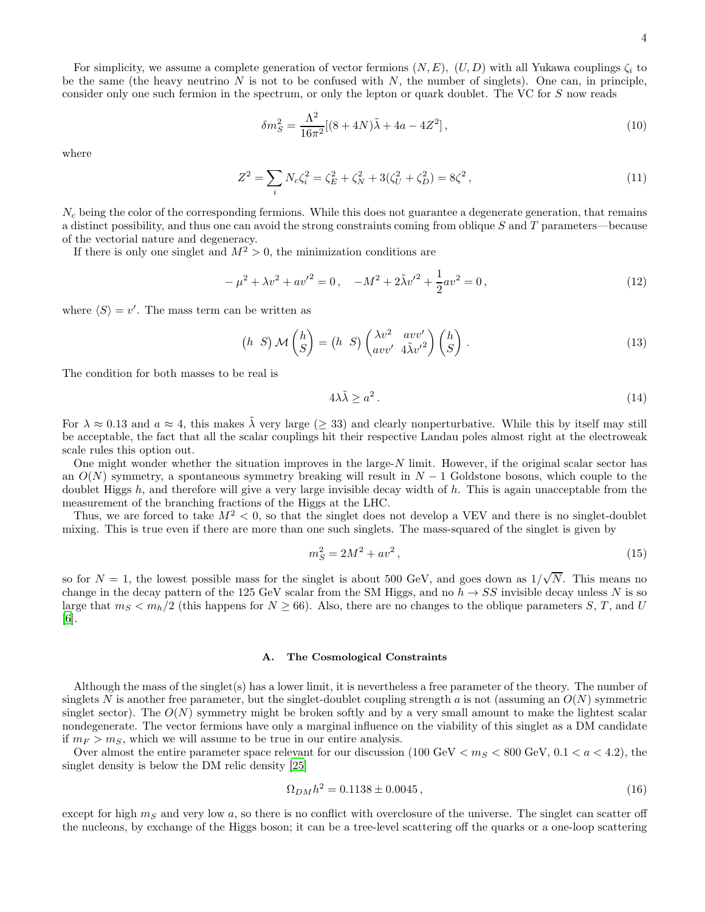For simplicity, we assume a complete generation of vector fermions  $(N, E)$ ,  $(U, D)$  with all Yukawa couplings  $\zeta_i$  to be the same (the heavy neutrino  $N$  is not to be confused with  $N$ , the number of singlets). One can, in principle, consider only one such fermion in the spectrum, or only the lepton or quark doublet. The VC for S now reads

$$
\delta m_S^2 = \frac{\Lambda^2}{16\pi^2} [(8 + 4N)\tilde{\lambda} + 4a - 4Z^2],
$$
\n(10)

where

$$
Z^{2} = \sum_{i} N_{c} \zeta_{i}^{2} = \zeta_{E}^{2} + \zeta_{N}^{2} + 3(\zeta_{U}^{2} + \zeta_{D}^{2}) = 8\zeta^{2}, \qquad (11)
$$

 $N_c$  being the color of the corresponding fermions. While this does not guarantee a degenerate generation, that remains a distinct possibility, and thus one can avoid the strong constraints coming from oblique S and T parameters—because of the vectorial nature and degeneracy.

If there is only one singlet and  $M^2 > 0$ , the minimization conditions are

$$
-\mu^2 + \lambda v^2 + av'^2 = 0, \quad -M^2 + 2\tilde{\lambda}v'^2 + \frac{1}{2}av^2 = 0,
$$
\n(12)

where  $\langle S \rangle = v'$ . The mass term can be written as

$$
(h \ S) \mathcal{M}\begin{pmatrix} h \\ S \end{pmatrix} = (h \ S) \begin{pmatrix} \lambda v^2 & avv' \\ avv' & 4\tilde{\lambda}v'^2 \end{pmatrix} \begin{pmatrix} h \\ S \end{pmatrix} . \tag{13}
$$

The condition for both masses to be real is

$$
4\lambda\tilde{\lambda} \ge a^2. \tag{14}
$$

For  $\lambda \approx 0.13$  and  $a \approx 4$ , this makes  $\tilde{\lambda}$  very large ( $\geq 33$ ) and clearly nonperturbative. While this by itself may still be acceptable, the fact that all the scalar couplings hit their respective Landau poles almost right at the electroweak scale rules this option out.

One might wonder whether the situation improves in the large- $N$  limit. However, if the original scalar sector has an  $O(N)$  symmetry, a spontaneous symmetry breaking will result in  $N-1$  Goldstone bosons, which couple to the doublet Higgs  $h$ , and therefore will give a very large invisible decay width of  $h$ . This is again unacceptable from the measurement of the branching fractions of the Higgs at the LHC.

Thus, we are forced to take  $M^2 < 0$ , so that the singlet does not develop a VEV and there is no singlet-doublet mixing. This is true even if there are more than one such singlets. The mass-squared of the singlet is given by

$$
m_S^2 = 2M^2 + av^2\,,\tag{15}
$$

so for  $N=1$ , the lowest possible mass for the singlet is about 500 GeV, and goes down as  $1/\sqrt{N}$ . This means no change in the decay pattern of the 125 GeV scalar from the SM Higgs, and no  $h \to SS$  invisible decay unless N is so large that  $m_S < m_h/2$  (this happens for  $N \ge 66$ ). Also, there are no changes to the oblique parameters S, T, and U [\[6\]](#page-7-5).

## A. The Cosmological Constraints

Although the mass of the singlet(s) has a lower limit, it is nevertheless a free parameter of the theory. The number of singlets N is another free parameter, but the singlet-doublet coupling strength a is not (assuming an  $O(N)$ ) symmetric singlet sector). The  $O(N)$  symmetry might be broken softly and by a very small amount to make the lightest scalar nondegenerate. The vector fermions have only a marginal influence on the viability of this singlet as a DM candidate if  $m_F > m_S$ , which we will assume to be true in our entire analysis.

Over almost the entire parameter space relevant for our discussion (100 GeV  $\lt m_S \lt 800$  GeV,  $0.1 \lt a \lt 4.2$ ), the singlet density is below the DM relic density [\[25](#page-7-21)]

$$
\Omega_{DM} h^2 = 0.1138 \pm 0.0045 \,, \tag{16}
$$

except for high  $m<sub>S</sub>$  and very low a, so there is no conflict with overclosure of the universe. The singlet can scatter off the nucleons, by exchange of the Higgs boson; it can be a tree-level scattering off the quarks or a one-loop scattering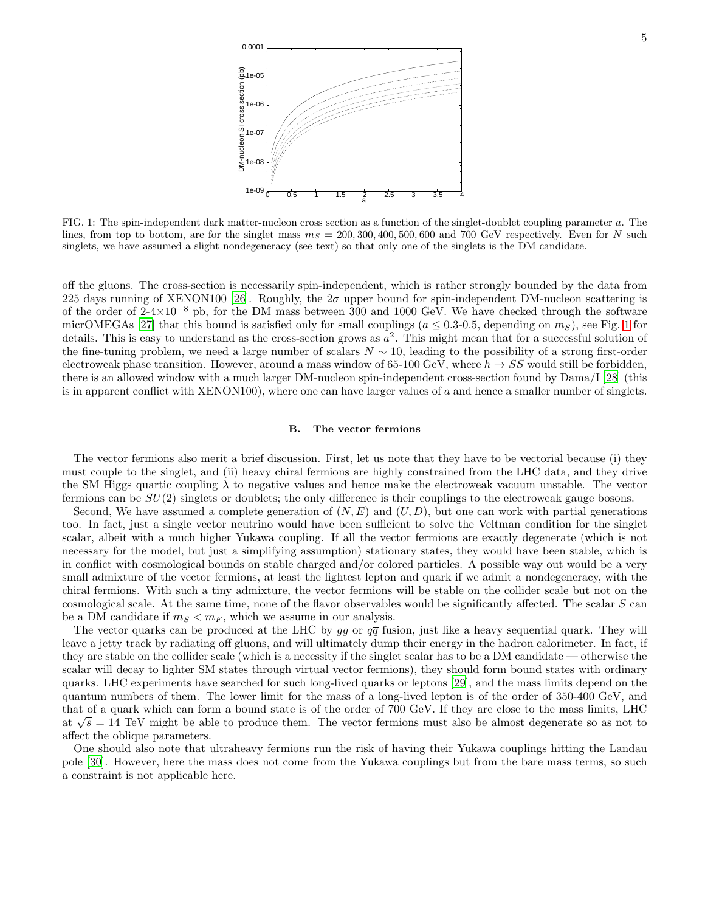

<span id="page-4-0"></span>FIG. 1: The spin-independent dark matter-nucleon cross section as a function of the singlet-doublet coupling parameter a. The lines, from top to bottom, are for the singlet mass  $m<sub>S</sub> = 200, 300, 400, 500, 600$  and 700 GeV respectively. Even for N such singlets, we have assumed a slight nondegeneracy (see text) so that only one of the singlets is the DM candidate.

off the gluons. The cross-section is necessarily spin-independent, which is rather strongly bounded by the data from 225 days running of XENON100 [\[26](#page-7-22)]. Roughly, the  $2\sigma$  upper bound for spin-independent DM-nucleon scattering is of the order of 2-4×10<sup>-8</sup> pb, for the DM mass between 300 and 1000 GeV. We have checked through the software micrOMEGAs [\[27](#page-7-23)] that this bound is satisfied only for small couplings ( $a \leq 0.3$ -0.5, depending on  $m<sub>S</sub>$ ), see Fig. [1](#page-4-0) for details. This is easy to understand as the cross-section grows as  $a^2$ . This might mean that for a successful solution of the fine-tuning problem, we need a large number of scalars  $N \sim 10$ , leading to the possibility of a strong first-order electroweak phase transition. However, around a mass window of 65-100 GeV, where  $h \to SS$  would still be forbidden, there is an allowed window with a much larger DM-nucleon spin-independent cross-section found by Dama/I [\[28\]](#page-7-24) (this is in apparent conflict with XENON100), where one can have larger values of  $a$  and hence a smaller number of singlets.

## B. The vector fermions

The vector fermions also merit a brief discussion. First, let us note that they have to be vectorial because (i) they must couple to the singlet, and (ii) heavy chiral fermions are highly constrained from the LHC data, and they drive the SM Higgs quartic coupling  $\lambda$  to negative values and hence make the electroweak vacuum unstable. The vector fermions can be  $SU(2)$  singlets or doublets; the only difference is their couplings to the electroweak gauge bosons.

Second, We have assumed a complete generation of  $(N, E)$  and  $(U, D)$ , but one can work with partial generations too. In fact, just a single vector neutrino would have been sufficient to solve the Veltman condition for the singlet scalar, albeit with a much higher Yukawa coupling. If all the vector fermions are exactly degenerate (which is not necessary for the model, but just a simplifying assumption) stationary states, they would have been stable, which is in conflict with cosmological bounds on stable charged and/or colored particles. A possible way out would be a very small admixture of the vector fermions, at least the lightest lepton and quark if we admit a nondegeneracy, with the chiral fermions. With such a tiny admixture, the vector fermions will be stable on the collider scale but not on the cosmological scale. At the same time, none of the flavor observables would be significantly affected. The scalar  $S$  can be a DM candidate if  $m<sub>S</sub> < m<sub>F</sub>$ , which we assume in our analysis.

The vector quarks can be produced at the LHC by gg or  $q\bar{q}$  fusion, just like a heavy sequential quark. They will leave a jetty track by radiating off gluons, and will ultimately dump their energy in the hadron calorimeter. In fact, if they are stable on the collider scale (which is a necessity if the singlet scalar has to be a DM candidate — otherwise the scalar will decay to lighter SM states through virtual vector fermions), they should form bound states with ordinary quarks. LHC experiments have searched for such long-lived quarks or leptons [\[29\]](#page-7-25), and the mass limits depend on the quantum numbers of them. The lower limit for the mass of a long-lived lepton is of the order of 350-400 GeV, and that of a quark which can form a bound state is of the order of 700 GeV. If they are close to the mass limits, LHC at  $\sqrt{s} = 14$  TeV might be able to produce them. The vector fermions must also be almost degenerate so as not to affect the oblique parameters.

One should also note that ultraheavy fermions run the risk of having their Yukawa couplings hitting the Landau pole [\[30](#page-7-26)]. However, here the mass does not come from the Yukawa couplings but from the bare mass terms, so such a constraint is not applicable here.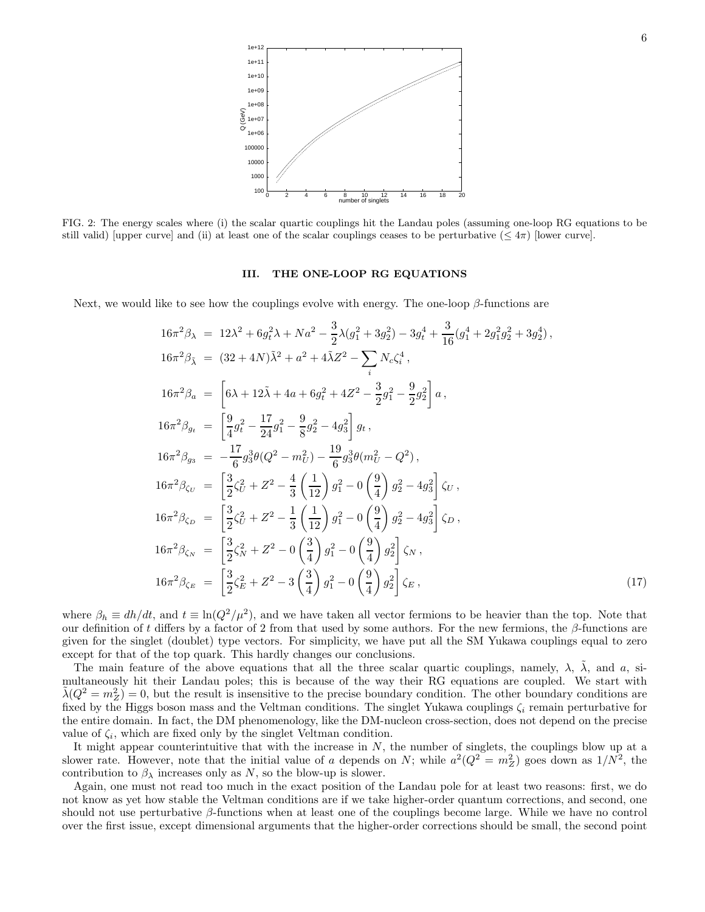

<span id="page-5-0"></span>FIG. 2: The energy scales where (i) the scalar quartic couplings hit the Landau poles (assuming one-loop RG equations to be still valid) [upper curve] and (ii) at least one of the scalar couplings ceases to be perturbative  $(\leq 4\pi)$  [lower curve].

## III. THE ONE-LOOP RG EQUATIONS

Next, we would like to see how the couplings evolve with energy. The one-loop  $\beta$ -functions are

<span id="page-5-1"></span>
$$
16\pi^2 \beta_{\lambda} = 12\lambda^2 + 6g_t^2 \lambda + Na^2 - \frac{3}{2}\lambda(g_1^2 + 3g_2^2) - 3g_t^4 + \frac{3}{16}(g_1^4 + 2g_1^2 g_2^2 + 3g_2^4),
$$
  
\n
$$
16\pi^2 \beta_{\bar{\lambda}} = (32 + 4N)\tilde{\lambda}^2 + a^2 + 4\tilde{\lambda}Z^2 - \sum_i N_c \zeta_i^4,
$$
  
\n
$$
16\pi^2 \beta_a = \left[6\lambda + 12\tilde{\lambda} + 4a + 6g_t^2 + 4Z^2 - \frac{3}{2}g_1^2 - \frac{9}{2}g_2^2\right]a,
$$
  
\n
$$
16\pi^2 \beta_{g_t} = \left[\frac{9}{4}g_t^2 - \frac{17}{24}g_1^2 - \frac{9}{8}g_2^2 - 4g_3^2\right]g_t,
$$
  
\n
$$
16\pi^2 \beta_{g_3} = -\frac{17}{6}g_3^3\theta(Q^2 - m_U^2) - \frac{19}{6}g_3^3\theta(m_U^2 - Q^2),
$$
  
\n
$$
16\pi^2 \beta_{\zeta_U} = \left[\frac{3}{2}\zeta_U^2 + Z^2 - \frac{4}{3}\left(\frac{1}{12}\right)g_1^2 - 0\left(\frac{9}{4}\right)g_2^2 - 4g_3^2\right]\zeta_U,
$$
  
\n
$$
16\pi^2 \beta_{\zeta_D} = \left[\frac{3}{2}\zeta_U^2 + Z^2 - \frac{1}{3}\left(\frac{1}{12}\right)g_1^2 - 0\left(\frac{9}{4}\right)g_2^2 - 4g_3^2\right]\zeta_D,
$$
  
\n
$$
16\pi^2 \beta_{\zeta_N} = \left[\frac{3}{2}\zeta_N^2 + Z^2 - 0\left(\frac{3}{4}\right)g_1^2 - 0\left(\frac{9}{4}\right)g_2^2\right]\zeta_N,
$$
  
\n
$$
16\pi^2 \beta_{\zeta_E} = \left[\frac{3}{2}\zeta_E^2 + Z^2 - 3\left(\frac{3}{4}\
$$

where  $\beta_h \equiv dh/dt$ , and  $t \equiv \ln(Q^2/\mu^2)$ , and we have taken all vector fermions to be heavier than the top. Note that our definition of t differs by a factor of 2 from that used by some authors. For the new fermions, the  $\beta$ -functions are given for the singlet (doublet) type vectors. For simplicity, we have put all the SM Yukawa couplings equal to zero except for that of the top quark. This hardly changes our conclusions.

The main feature of the above equations that all the three scalar quartic couplings, namely,  $\lambda$ ,  $\lambda$ , and a, simultaneously hit their Landau poles; this is because of the way their RG equations are coupled. We start with  $\tilde{\lambda}(Q^2 = m_Z^2) = 0$ , but the result is insensitive to the precise boundary condition. The other boundary conditions are fixed by the Higgs boson mass and the Veltman conditions. The singlet Yukawa couplings  $\zeta_i$  remain perturbative for the entire domain. In fact, the DM phenomenology, like the DM-nucleon cross-section, does not depend on the precise value of  $\zeta_i$ , which are fixed only by the singlet Veltman condition.

It might appear counterintuitive that with the increase in  $N$ , the number of singlets, the couplings blow up at a slower rate. However, note that the initial value of a depends on N; while  $a^2(Q^2 = m_Z^2)$  goes down as  $1/N^2$ , the contribution to  $\beta_{\lambda}$  increases only as N, so the blow-up is slower.

Again, one must not read too much in the exact position of the Landau pole for at least two reasons: first, we do not know as yet how stable the Veltman conditions are if we take higher-order quantum corrections, and second, one should not use perturbative  $\beta$ -functions when at least one of the couplings become large. While we have no control over the first issue, except dimensional arguments that the higher-order corrections should be small, the second point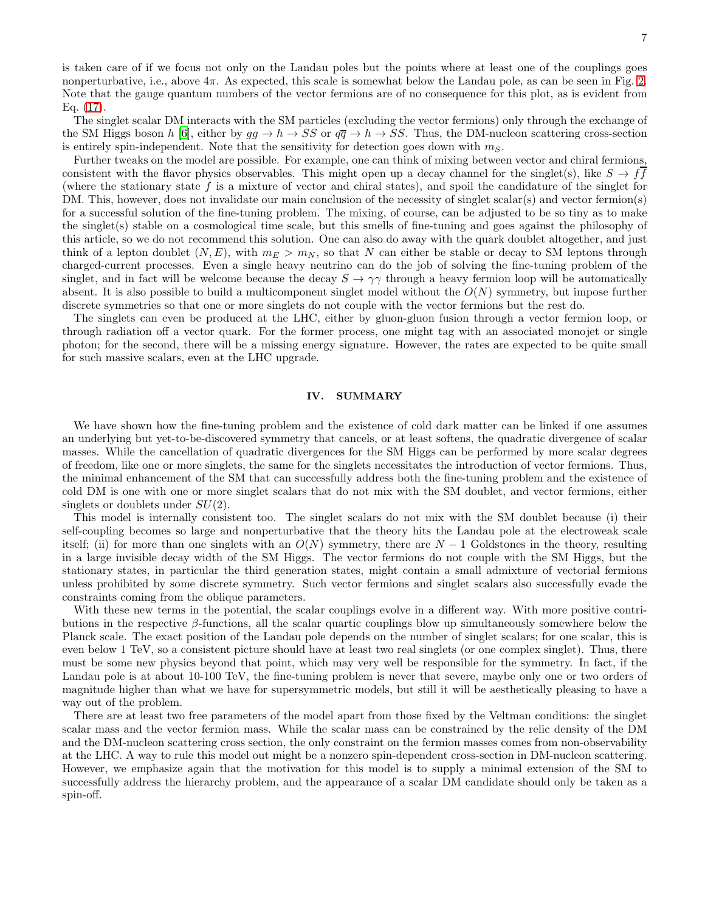is taken care of if we focus not only on the Landau poles but the points where at least one of the couplings goes nonperturbative, i.e., above  $4\pi$ . As expected, this scale is somewhat below the Landau pole, as can be seen in Fig. [2.](#page-5-0) Note that the gauge quantum numbers of the vector fermions are of no consequence for this plot, as is evident from Eq. [\(17\)](#page-5-1).

The singlet scalar DM interacts with the SM particles (excluding the vector fermions) only through the exchange of the SM Higgs boson h [\[6\]](#page-7-5), either by  $gg \to h \to SS$  or  $q\overline{q} \to h \to SS$ . Thus, the DM-nucleon scattering cross-section is entirely spin-independent. Note that the sensitivity for detection goes down with  $m<sub>S</sub>$ .

Further tweaks on the model are possible. For example, one can think of mixing between vector and chiral fermions, consistent with the flavor physics observables. This might open up a decay channel for the singlet(s), like  $S \to f\bar{f}$ (where the stationary state  $f$  is a mixture of vector and chiral states), and spoil the candidature of the singlet for DM. This, however, does not invalidate our main conclusion of the necessity of singlet scalar(s) and vector fermion(s) for a successful solution of the fine-tuning problem. The mixing, of course, can be adjusted to be so tiny as to make the singlet(s) stable on a cosmological time scale, but this smells of fine-tuning and goes against the philosophy of this article, so we do not recommend this solution. One can also do away with the quark doublet altogether, and just think of a lepton doublet  $(N, E)$ , with  $m_E > m_N$ , so that N can either be stable or decay to SM leptons through charged-current processes. Even a single heavy neutrino can do the job of solving the fine-tuning problem of the singlet, and in fact will be welcome because the decay  $S \to \gamma\gamma$  through a heavy fermion loop will be automatically absent. It is also possible to build a multicomponent singlet model without the  $O(N)$  symmetry, but impose further discrete symmetries so that one or more singlets do not couple with the vector fermions but the rest do.

The singlets can even be produced at the LHC, either by gluon-gluon fusion through a vector fermion loop, or through radiation off a vector quark. For the former process, one might tag with an associated monojet or single photon; for the second, there will be a missing energy signature. However, the rates are expected to be quite small for such massive scalars, even at the LHC upgrade.

### IV. SUMMARY

We have shown how the fine-tuning problem and the existence of cold dark matter can be linked if one assumes an underlying but yet-to-be-discovered symmetry that cancels, or at least softens, the quadratic divergence of scalar masses. While the cancellation of quadratic divergences for the SM Higgs can be performed by more scalar degrees of freedom, like one or more singlets, the same for the singlets necessitates the introduction of vector fermions. Thus, the minimal enhancement of the SM that can successfully address both the fine-tuning problem and the existence of cold DM is one with one or more singlet scalars that do not mix with the SM doublet, and vector fermions, either singlets or doublets under  $SU(2)$ .

This model is internally consistent too. The singlet scalars do not mix with the SM doublet because (i) their self-coupling becomes so large and nonperturbative that the theory hits the Landau pole at the electroweak scale itself; (ii) for more than one singlets with an  $O(N)$  symmetry, there are  $N-1$  Goldstones in the theory, resulting in a large invisible decay width of the SM Higgs. The vector fermions do not couple with the SM Higgs, but the stationary states, in particular the third generation states, might contain a small admixture of vectorial fermions unless prohibited by some discrete symmetry. Such vector fermions and singlet scalars also successfully evade the constraints coming from the oblique parameters.

With these new terms in the potential, the scalar couplings evolve in a different way. With more positive contributions in the respective β-functions, all the scalar quartic couplings blow up simultaneously somewhere below the Planck scale. The exact position of the Landau pole depends on the number of singlet scalars; for one scalar, this is even below 1 TeV, so a consistent picture should have at least two real singlets (or one complex singlet). Thus, there must be some new physics beyond that point, which may very well be responsible for the symmetry. In fact, if the Landau pole is at about 10-100 TeV, the fine-tuning problem is never that severe, maybe only one or two orders of magnitude higher than what we have for supersymmetric models, but still it will be aesthetically pleasing to have a way out of the problem.

There are at least two free parameters of the model apart from those fixed by the Veltman conditions: the singlet scalar mass and the vector fermion mass. While the scalar mass can be constrained by the relic density of the DM and the DM-nucleon scattering cross section, the only constraint on the fermion masses comes from non-observability at the LHC. A way to rule this model out might be a nonzero spin-dependent cross-section in DM-nucleon scattering. However, we emphasize again that the motivation for this model is to supply a minimal extension of the SM to successfully address the hierarchy problem, and the appearance of a scalar DM candidate should only be taken as a spin-off.